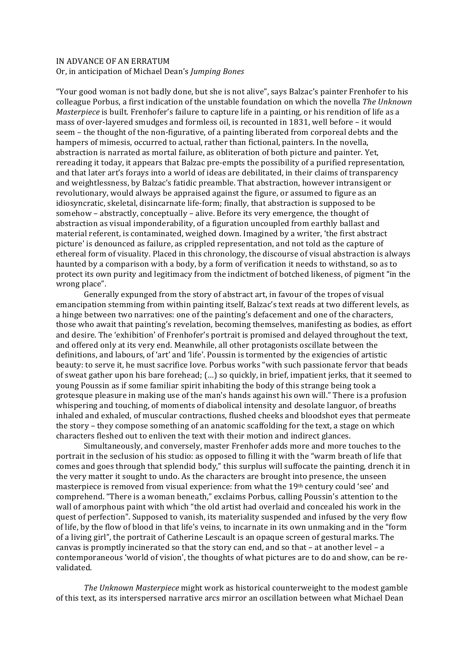## IN ADVANCE OF AN ERRATUM Or, in anticipation of Michael Dean's *Jumping Bones*

"Your good woman is not badly done, but she is not alive", says Balzac's painter Frenhofer to his colleague Porbus, a first indication of the unstable foundation on which the novella *The Unknown Masterpiece* is built. Frenhofer's failure to capture life in a painting, or his rendition of life as a mass of over-layered smudges and formless oil, is recounted in 1831, well before – it would seem – the thought of the non-figurative, of a painting liberated from corporeal debts and the hampers of mimesis, occurred to actual, rather than fictional, painters. In the novella, abstraction is narrated as mortal failure, as obliteration of both picture and painter. Yet, rereading it today, it appears that Balzac pre-empts the possibility of a purified representation, and that later art's forays into a world of ideas are debilitated, in their claims of transparency and weightlessness, by Balzac's fatidic preamble. That abstraction, however intransigent or revolutionary, would always be appraised against the figure, or assumed to figure as an idiosyncratic, skeletal, disincarnate life-form; finally, that abstraction is supposed to be somehow – abstractly, conceptually – alive. Before its very emergence, the thought of abstraction as visual imponderability, of a figuration uncoupled from earthly ballast and material referent, is contaminated, weighed down. Imagined by a writer, 'the first abstract picture' is denounced as failure, as crippled representation, and not told as the capture of ethereal form of visuality. Placed in this chronology, the discourse of visual abstraction is always haunted by a comparison with a body, by a form of verification it needs to withstand, so as to protect its own purity and legitimacy from the indictment of botched likeness, of pigment "in the wrong place".

Generally expunged from the story of abstract art, in favour of the tropes of visual emancipation stemming from within painting itself, Balzac's text reads at two different levels, as a hinge between two narratives: one of the painting's defacement and one of the characters, those who await that painting's revelation, becoming themselves, manifesting as bodies, as effort and desire. The 'exhibition' of Frenhofer's portrait is promised and delayed throughout the text. and offered only at its very end. Meanwhile, all other protagonists oscillate between the definitions, and labours, of 'art' and 'life'. Poussin is tormented by the exigencies of artistic beauty: to serve it, he must sacrifice love. Porbus works "with such passionate fervor that beads of sweat gather upon his bare forehead;  $(...)$  so quickly, in brief, impatient jerks, that it seemed to young Poussin as if some familiar spirit inhabiting the body of this strange being took a grotesque pleasure in making use of the man's hands against his own will." There is a profusion whispering and touching, of moments of diabolical intensity and desolate languor, of breaths inhaled and exhaled, of muscular contractions, flushed cheeks and bloodshot eyes that permeate the story – they compose something of an anatomic scaffolding for the text, a stage on which characters fleshed out to enliven the text with their motion and indirect glances.

Simultaneously, and conversely, master Frenhofer adds more and more touches to the portrait in the seclusion of his studio: as opposed to filling it with the "warm breath of life that comes and goes through that splendid body," this surplus will suffocate the painting, drench it in the very matter it sought to undo. As the characters are brought into presence, the unseen masterpiece is removed from visual experience: from what the  $19<sup>th</sup>$  century could 'see' and comprehend. "There is a woman beneath," exclaims Porbus, calling Poussin's attention to the wall of amorphous paint with which "the old artist had overlaid and concealed his work in the quest of perfection". Supposed to vanish, its materiality suspended and infused by the very flow of life, by the flow of blood in that life's veins, to incarnate in its own unmaking and in the "form of a living girl", the portrait of Catherine Lescault is an opaque screen of gestural marks. The canvas is promptly incinerated so that the story can end, and so that  $-$  at another level  $-$  a contemporaneous 'world of vision', the thoughts of what pictures are to do and show, can be revalidated.

*The Unknown Masterpiece* might work as historical counterweight to the modest gamble of this text, as its interspersed narrative arcs mirror an oscillation between what Michael Dean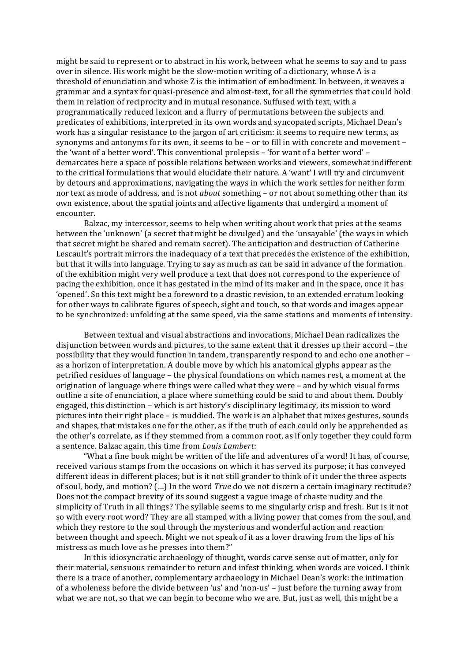might be said to represent or to abstract in his work, between what he seems to say and to pass over in silence. His work might be the slow-motion writing of a dictionary, whose A is a threshold of enunciation and whose Z is the intimation of embodiment. In between, it weaves a grammar and a syntax for quasi-presence and almost-text, for all the symmetries that could hold them in relation of reciprocity and in mutual resonance. Suffused with text, with a programmatically reduced lexicon and a flurry of permutations between the subjects and predicates of exhibitions, interpreted in its own words and syncopated scripts, Michael Dean's work has a singular resistance to the jargon of art criticism: it seems to require new terms, as synonyms and antonyms for its own, it seems to be - or to fill in with concrete and movement the 'want of a better word'. This conventional prolepsis  $-$  'for want of a better word'  $$ demarcates here a space of possible relations between works and viewers, somewhat indifferent to the critical formulations that would elucidate their nature. A 'want' I will try and circumvent by detours and approximations, navigating the ways in which the work settles for neither form nor text as mode of address, and is not *about* something - or not about something other than its own existence, about the spatial joints and affective ligaments that undergird a moment of encounter. 

Balzac, my intercessor, seems to help when writing about work that pries at the seams between the 'unknown' (a secret that might be divulged) and the 'unsayable' (the ways in which that secret might be shared and remain secret). The anticipation and destruction of Catherine Lescault's portrait mirrors the inadequacy of a text that precedes the existence of the exhibition, but that it wills into language. Trying to say as much as can be said in advance of the formation of the exhibition might very well produce a text that does not correspond to the experience of pacing the exhibition, once it has gestated in the mind of its maker and in the space, once it has 'opened'. So this text might be a foreword to a drastic revision, to an extended erratum looking for other ways to calibrate figures of speech, sight and touch, so that words and images appear to be synchronized: unfolding at the same speed, via the same stations and moments of intensity.

Between textual and visual abstractions and invocations, Michael Dean radicalizes the disjunction between words and pictures, to the same extent that it dresses up their accord – the possibility that they would function in tandem, transparently respond to and echo one another as a horizon of interpretation. A double move by which his anatomical glyphs appear as the petrified residues of language – the physical foundations on which names rest, a moment at the origination of language where things were called what they were – and by which visual forms outline a site of enunciation, a place where something could be said to and about them. Doubly engaged, this distinction - which is art history's disciplinary legitimacy, its mission to word pictures into their right place - is muddied. The work is an alphabet that mixes gestures, sounds and shapes, that mistakes one for the other, as if the truth of each could only be apprehended as the other's correlate, as if they stemmed from a common root, as if only together they could form a sentence. Balzac again, this time from *Louis Lambert*:

"What a fine book might be written of the life and adventures of a word! It has, of course, received various stamps from the occasions on which it has served its purpose; it has conveyed different ideas in different places; but is it not still grander to think of it under the three aspects of soul, body, and motion? (...) In the word *True* do we not discern a certain imaginary rectitude? Does not the compact brevity of its sound suggest a vague image of chaste nudity and the simplicity of Truth in all things? The syllable seems to me singularly crisp and fresh. But is it not so with every root word? They are all stamped with a living power that comes from the soul, and which they restore to the soul through the mysterious and wonderful action and reaction between thought and speech. Might we not speak of it as a lover drawing from the lips of his mistress as much love as he presses into them?"

In this idiosyncratic archaeology of thought, words carve sense out of matter, only for their material, sensuous remainder to return and infest thinking, when words are voiced. I think there is a trace of another, complementary archaeology in Michael Dean's work: the intimation of a wholeness before the divide between 'us' and 'non-us' – just before the turning away from what we are not, so that we can begin to become who we are. But, just as well, this might be a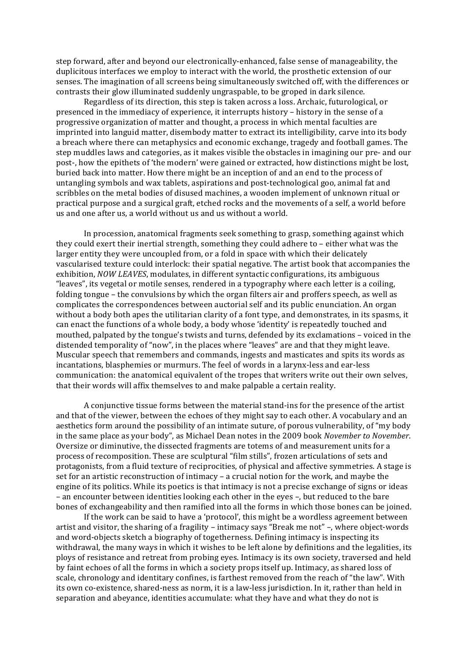step forward, after and beyond our electronically-enhanced, false sense of manageability, the duplicitous interfaces we employ to interact with the world, the prosthetic extension of our senses. The imagination of all screens being simultaneously switched off, with the differences or contrasts their glow illuminated suddenly ungraspable, to be groped in dark silence.

Regardless of its direction, this step is taken across a loss. Archaic, futurological, or presenced in the immediacy of experience, it interrupts history – history in the sense of a progressive organization of matter and thought, a process in which mental faculties are imprinted into languid matter, disembody matter to extract its intelligibility, carve into its body a breach where there can metaphysics and economic exchange, tragedy and football games. The step muddles laws and categories, as it makes visible the obstacles in imagining our pre- and our post-, how the epithets of 'the modern' were gained or extracted, how distinctions might be lost, buried back into matter. How there might be an inception of and an end to the process of untangling symbols and wax tablets, aspirations and post-technological goo, animal fat and scribbles on the metal bodies of disused machines, a wooden implement of unknown ritual or practical purpose and a surgical graft, etched rocks and the movements of a self, a world before us and one after us, a world without us and us without a world.

In procession, anatomical fragments seek something to grasp, something against which they could exert their inertial strength, something they could adhere to  $-$  either what was the larger entity they were uncoupled from, or a fold in space with which their delicately vascularised texture could interlock: their spatial negative. The artist book that accompanies the exhibition, *NOW LEAVES*, modulates, in different syntactic configurations, its ambiguous "leaves", its vegetal or motile senses, rendered in a typography where each letter is a coiling, folding tongue  $-$  the convulsions by which the organ filters air and proffers speech, as well as complicates the correspondences between auctorial self and its public enunciation. An organ without a body both apes the utilitarian clarity of a font type, and demonstrates, in its spasms, it can enact the functions of a whole body, a body whose 'identity' is repeatedly touched and mouthed, palpated by the tongue's twists and turns, defended by its exclamations – voiced in the distended temporality of "now", in the places where "leaves" are and that they might leave. Muscular speech that remembers and commands, ingests and masticates and spits its words as incantations, blasphemies or murmurs. The feel of words in a larynx-less and ear-less communication: the anatomical equivalent of the tropes that writers write out their own selves, that their words will affix themselves to and make palpable a certain reality.

A conjunctive tissue forms between the material stand-ins for the presence of the artist and that of the viewer, between the echoes of they might say to each other. A vocabulary and an aesthetics form around the possibility of an intimate suture, of porous vulnerability, of "my body" in the same place as your body", as Michael Dean notes in the 2009 book *November to November*. Oversize or diminutive, the dissected fragments are totems of and measurement units for a process of recomposition. These are sculptural "film stills", frozen articulations of sets and protagonists, from a fluid texture of reciprocities, of physical and affective symmetries. A stage is set for an artistic reconstruction of intimacy - a crucial notion for the work, and maybe the engine of its politics. While its poetics is that intimacy is not a precise exchange of signs or ideas – an encounter between identities looking each other in the eyes –, but reduced to the bare bones of exchangeability and then ramified into all the forms in which those bones can be joined.

If the work can be said to have a 'protocol', this might be a wordless agreement between artist and visitor, the sharing of a fragility - intimacy says "Break me not" -, where object-words and word-objects sketch a biography of togetherness. Defining intimacy is inspecting its withdrawal, the many ways in which it wishes to be left alone by definitions and the legalities, its ploys of resistance and retreat from probing eyes. Intimacy is its own society, traversed and held by faint echoes of all the forms in which a society props itself up. Intimacy, as shared loss of scale, chronology and identitary confines, is farthest removed from the reach of "the law". With its own co-existence, shared-ness as norm, it is a law-less jurisdiction. In it, rather than held in separation and abeyance, identities accumulate: what they have and what they do not is